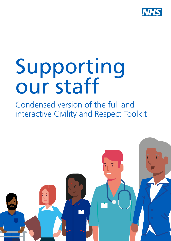

# Supporting our staff

Condensed version of the full and interactive Civility and Respect Toolkit

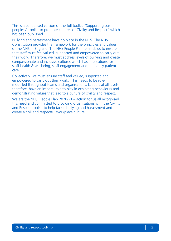This is a condensed version of the full toolkit "Supporting our people: A toolkit to promote cultures of Civility and Respect" which has been published.

Bullying and harassment have no place in the NHS. The NHS Constitution provides the framework for the principles and values of the NHS in England. The NHS People Plan reminds us to ensure that staff must feel valued, supported and empowered to carry out their work. Therefore, we must address levels of bullying and create compassionate and inclusive cultures which has implications for staff health & wellbeing, staff engagement and ultimately patient care.

Collectively, we must ensure staff feel valued, supported and empowered to carry out their work. This needs to be rolemodelled throughout teams and organisations. Leaders at all levels, therefore, have an integral role to play in exhibiting behaviours and demonstrating values that lead to a culture of civility and respect.

We are the NHS: People Plan 2020/21 – action for us all recognised this need and committed to providing organisations with the Civility and Respect toolkit to help tackle bullying and harassment and to create a civil and respectful workplace culture.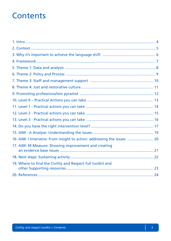### **Contents**

| 16. AIM- I Intervene: From insight to action: addressing the issues  20 |  |
|-------------------------------------------------------------------------|--|
| 17. AIM- M Measure: Showing improvement and creating                    |  |
|                                                                         |  |
| 19. Where to find the Civility and Respect full toolkit and             |  |
|                                                                         |  |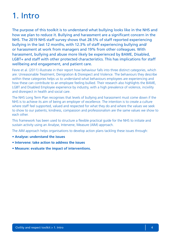## 1. Intro

The purpose of this toolkit is to understand what bullying looks like in the NHS and how we plan to reduce it. Bullying and harassment are a significant concern in the NHS. The 2019 NHS staff survey shows that 28.5% of staff reported experiencing bullying in the last 12 months, with 12.3% of staff experiencing bullying and/ or harassment at work from managers and 19% from other colleagues. With harassment, bullying and abuse more likely be experienced by BAME, Disabled, LGBT+ and staff with other protected characteristics. This has implications for staff wellbeing and engagement, and patient care.

Fevre et al. (2011) illustrate in their report how behaviour falls into three distinct categories, which are: Unreasonable Treatment, Denigration & Disrespect and Violence. The behaviours they describe within these categories helps us to understand what behaviours employees are experiencing and how these can contribute to an employee feeling bullied. Their research also highlights the BAME, LGBT and Disabled Employee experience by industry, with a high prevalence of violence, incivility and disrespect in health and social care.

The NHS Long Term Plan recognises that levels of bullying and harassment must come down if the NHS is to achieve its aim of being an employer of excellence. The intention is to create a culture where staff feel supported, valued and respected for what they do and where the values we seek to show to our patients; kindness, compassion and professionalism are the same values we show to each other.

This framework has been used to structure a flexible practical guide for the NHS to initiate and sustain activity using an Analyse, Intervene, Measure (AIM) approach.

The AIM approach helps organisations to develop action plans tackling these issues through:

- **Analyse: understand the issues**
- **Intervene: take action to address the issues**
- **Measure: evaluate the impact of interventions.**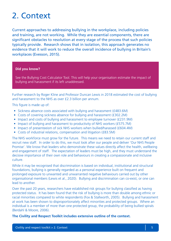### 2. Context

Current approaches to addressing bullying in the workplace, including policies and training, are not working. While they are essential components, there are significant obstacles to resolution at every stage of the process that such policies typically provide. Research shows that in isolation, this approach generates no evidence that it will work to reduce the overall incidence of bullying in Britain's workplaces (Evesson, 2015).

#### **Did you know?**

See the Bullying Cost Calculator Tool. This will help your organisation estimate the impact of bullying and harassment if its left unaddressed.

Further research by Roger Kline and Professor Duncan Lewis in 2018 estimated the cost of bullying and harassment to the NHS as over £2.3 billion per annum.

This figure is made up of:

- Sickness absence costs associated with bullying and harassment (£483.6M)
- Costs of covering sickness absence for bullying and harassment (£302.2M)
- Impact and costs of bullying and harassment to employee turnover (£231.9M)
- Impact of bullying and harassment to productivity of NHS workers (£575.7M)
- Impact of presenteeism of sick NHS workers when bullied/harassed (£604.4M)
- Costs of industrial relations, compensation and litigation (£83.5M)

The NHS workforce must grow for the future. This means we need to retain our current staff and recruit new staff. In order to do this, we must look after our people and deliver 'Our NHS People Promise'. We know that leaders who demonstrate these values directly affect the health, wellbeing and engagement of staff. The expectation of leaders must be high, and they must understand the decisive importance of their own role and behaviours in creating a compassionate and inclusive culture.

While it may be recognised that discrimination is based on individual, institutional and structural foundations, bullying is generally regarded as a personal experience built on frequent and prolonged exposure to unwanted and unwarranted negative behaviours carried out by other organisational members (Lewis et al., 2020). Bullying and discrimination can co-exist, or one can lead to another.

Over the past 20 years, researchers have established risk groups for bullying classified as having protected status. It has been found that the risk of bullying is more than double among ethnic or racial minorities compared to white respondents (Fox & Stallworth, 2005). Bullying and harassment at work has been shown to disproportionately affect minorities and protected groups. Where an individual is a member of more than one protected group, the probability of being bullied spirals (Berdahl & Moore, 2006).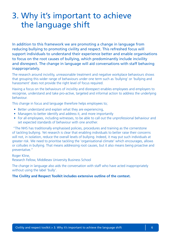### 3. Why it's important to achieve the language shift

In addition to this framework we are promoting a change in language from reducing bullying to promoting civility and respect. This refreshed focus will support individuals to understand their experience better and enable organisations to focus on the root causes of bullying, which predominantly include incivility and disrespect. The change in language will aid conversations with staff behaving inappropriately.

The research around incivility, unreasonable treatment and negative workplace behaviours shows that grouping this wider range of behaviours under one term such as 'bullying' or 'bullying and harassment' does not provide the right level of focus required.

Having a focus on the behaviours of incivility and disrespect enables employees and employers to recognise, understand and take pro-active, targeted and informal action to address the underlying behaviour.

This change in focus and language therefore helps employees to;

- Better understand and explain what they are experiencing,
- Managers to better identify and address it, and more importantly
- For all employees, including witnesses, to be able to call out the unprofessional behaviour and set expected standards of behaviour with one another.

 "The NHS has traditionally emphasised policies, procedures and training as the cornerstone of tackling bullying. Yet research is clear that enabling individuals to better raise their concerns will not, in isolation, reduce the overall levels of bullying. Indeed, it may put such individuals at greater risk. We need to prioritise tackling the 'organisational climate' which encourages, allows or colludes in bullying. That means addressing root causes, but it also means being proactive and preventative."

Roger Kline,

Research Fellow, Middlesex University Business School

The change in language also aids the conversation with staff who have acted inappropriately without using the label 'bully'.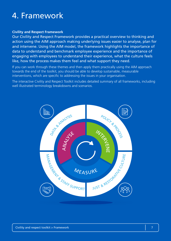### 4. Framework

### **Civility and Respect Framework**

Our Civility and Respect Framework provides a practical overview to thinking and action using the AIM approach making underlying issues easier to analyse, plan for and intervene. Using the AIM model, the framework highlights the importance of data to understand and benchmark employee experience and the importance of engaging with employees to understand their experience, what the culture feels like, how the process makes them feel and what support they need.

If you can work through these themes and then apply them practically using the AIM approach towards the end of the toolkit, you should be able to develop sustainable, measurable interventions, which are specific to addressing the issues in your organisation.

The interactive Civility and Respect Toolkit includes detailed summary of all frameworks, including well illustrated terminology breakdowns and scenarios.

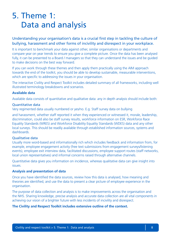### 5. Theme 1: Data and analysis

### Understanding your organisation's data is a crucial first step in tackling the culture of bullying, harassment and other forms of incivility and disrespect in your workplace.

It is important to benchmark your data against other, similar organisations or departments and compare year on year trends to ensure you give a complete picture. Once the data has been analysed fully, it can be presented to a Board / managers so that they can understand the issues and be guided to make decisions on the best way forward.

If you can work through these themes and then apply them practically using the AIM approach towards the end of the toolkit, you should be able to develop sustainable, measurable interventions, which are specific to addressing the issues in your organisation.

The interactive Civility and Respect Toolkit includes detailed summary of all frameworks, including well illustrated terminology breakdowns and scenarios.

### **Available data**

Available data consists of quantitative and qualitative data: any in depth analysis should include both:

### Quantitative data

Very regimented data usually numbered or yes/no. E.g. Staff survey data on bullying

and harassment, whether staff reported it when they experienced or witnessed it, morale, leadership, discrimination, could also be staff survey results, workforce information on ESR, Workforce Race Equality Standards (WRES) and Workforce Disability Equality Standards (WDES) data and any other local surveys. This should be readily available through established information sources, systems and dashboards.

### Qualitative data

Usually more word-based and informationally rich which includes feedback and information from, for example, employee engagement activity (free text submissions from engagement surveys/listening events), employee exit interview data, facilitated discussions, employee support routes (staff networks, local union representatives) and informal concerns raised through alternative channels.

Quantitative data gives you information on incidence, whereas qualitative data can give insight into issues.

#### **Analysis and presentation of data**

Once you have identified the data sources, review how this data is analysed, how meaning and theories are identified, and use the data to present a clear picture of employee experience in the organisation.

The purpose of data collection and analysis is to make improvements across the organisation and the NHS. Sharing knowledge, precise analysis and accurate data collection are all vital components in achieving our vision of a brighter future with less incidents of incivility and disrespect.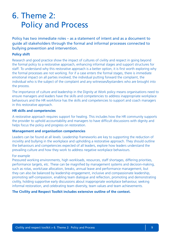### 6. Theme 2: Policy and Process

Policy has two immediate roles – as a statement of intent and as a document to guide all stakeholders through the formal and informal processes connected to bullying prevention and intervention.

### **Policy shift**

Research and good practice show the impact of cultures of civility and respect in going beyond the formal policy to a restorative approach, enhancing informal stages and support structures for staff. To understand why this restorative approach is a better option, it is first worth exploring why the formal processes are not working. For if a case enters the formal stages, there is immediate emotional impact on all parties involved; the individual putting forward the complaint, the individual who is the subject of the complaint and any witnesses/bystanders who are brought into the process.

The importance of culture and leadership in the Dignity at Work policy means organisations need to ensure managers and leaders have the skills and competencies to address inappropriate workplace behaviours and the HR workforce has the skills and competencies to support and coach managers in this restorative approach.

### **HR skills and competencies**

A restorative approach requires support for healing. This includes how the HR community supports the provider to uphold accountability and managers to have difficult discussions with dignity and helps focus the policy and progress on restoration.

### **Management and organisation competencies**

Leaders can be found at all levels. Leadership frameworks are key to supporting the reduction of incivility and bullying in the workplace and upholding a restorative approach. They should outline the behaviours and competencies expected of all leaders, explore how leaders understand the prevailing culture and how they work to address negative workplace behaviours.

### For example

Pressured working environments, high workloads, resources, staff shortages, differing priorities, performance targets, etc. These can be magnified by management systems and decision-making, such as rotas, work/case allocation, breaks, annual leave and performance management, but they can also be balanced by leadership engagement, inclusive and compassionate leadership, promoting self-compassion, enabling team dialogue and reflection, promoting and demonstrating civility, holding supportive early discussions about inappropriate workplace behaviour, seeking informal restoration, and celebrating team diversity, team values and team achievements.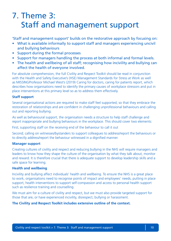### 7. Theme 3: Staff and management support

'Staff and management support' builds on the restorative approach by focusing on:

- What is available informally to support staff and managers experiencing uncivil and bullying behaviours
- Support during the formal processes
- Support for managers handling the process at both informal and formal levels.
- The health and wellbeing of all staff; recognising how incivility and bullying can affect the health of everyone involved.

For absolute comprehension, the full Civility and Respect Toolkit should be read in conjunction with the Health and Safety Executive's (HSE) Management Standards for Stress at Work as well as MISSINGProfessor Michael West's (2019) Caring for doctors, caring for patients report, which describes how organisations need to identify the primary causes of workplace stressors and put in place interventions at this primary level so as to address them effectively.

### **Staff support**

Several organisational actions are required to make staff feel supported, so that they embrace the restoration of relationships and are confident in challenging unprofessional behaviours and calling out and reporting bullying.

As well as behavioural support, the organisation needs a structure to help staff challenge and report inappropriate and bullying behaviours in the workplace. This should cover two elements:

First; supporting staff on the receiving end of the behaviour to call it out

Second; calling on witnesses/bystanders to support colleagues to address/report the behaviours or to directly address/report the behaviour witnessed in a dignified manner.

### **Manager support**

Creating cultures of civility and respect and reducing bullying in the NHS will require managers and leaders to know how they shape the culture of the organisation by what they talk about, monitor and reward. It is therefore crucial that there is adequate support to develop leadership skills and a safe space for learning.

### **Health and wellbeing**

Incivility and bullying affect individuals' health and wellbeing. To ensure the NHS is a great place to work, organisations need to recognise points of impact and employees' needs, putting in place support, health interventions to support self-compassion and access to personal health support such as resilience training and counselling.

We must aim for a culture of civility and respect, but we must also provide targeted support for those that are, or have experienced incivility, disrespect, bullying or harassment.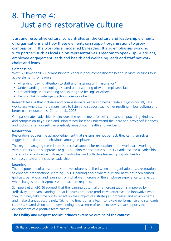### 8. Theme 4: Just and restorative culture

'Just and restorative culture' concentrates on the culture and leadership elements of organisations and how these elements can support organisations to grow compassion in the workplace, modelled by leaders. It also emphasises working with partners such as local union representatives, Freedom to Speak Up Guardians, employee engagement leads and health and wellbeing leads and staff network chairs and leads.

### **Compassion**

West & Chowla (2017) 'compassionate leadership for compassionate health services' outlines four active elements for leaders:

- Attending: paying attention to staff and 'listening with fascination'
- Understanding: developing a shared understanding of what employees face
- Empathising: understanding and sharing the feelings of others
- Helping: taking intelligent action to serve or help.

Research tells us that inclusive and compassionate leadership helps create a psychologically safe workplace where staff are more likely to listen and support each other resulting in less bullying and better patient outcomes (Carter et al., 2008).

Compassionate leadership also includes the requirement for self-compassion: practicing kindness and compassion to yourself and using mindfulness to understand the 'here and now'; self-kindness and looking after yourself can positively impact your health and wellbeing.

#### **Restoration**

Restoration requires the acknowledgement that systems are not perfect; they can themselves trigger interactions and behaviours among employees.

The key to managing these issues is practical support for restoration in the workplace, working with partners on this approach (e.g. local union representatives, FTSU Guardians) and a leadership strategy for a restorative culture, e.g. individual and collective leadership capabilities for compassionate and inclusive leadership.

### **Learning**

The full potential of a just and restorative culture is realised when an organisation uses restoration to enhance organisational learning. This is learning about where hurt and harm has been caused (policies, behaviour) and learning from what went wrong or the employee experience to reflect on what changes to policy/process/approach are required.

Schippers et al. (2015) suggest that the learning potential of an organisation is improved by 'reflexivity and team learning' – that is, teams are more productive, effective and innovative when they routinely take time out to reflect on their objectives, strategies, processes and environments and make changes accordingly. Taking the time out as a team to review performance and standards creates a shared vision and understanding and a sense of team inclusivity that supports the development of a positive team culture.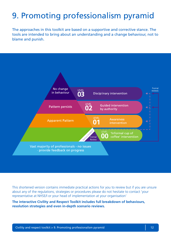# 9. Promoting professionalism pyramid

The approaches in this toolkit are based on a supportive and corrective stance. The tools are intended to bring about an understanding and a change behaviour, not to blame and punish.



This shortened version contains immediate practical actions for you to review but if you are unsure about any of the regulations, strategies or procedures please do not hesitate to contact 'your representative at NHSE/I or your head of implementation at your organisation'

**The interactive Civility and Respect Toolkit includes full breakdown of behaviours, resolution strategies and even in-depth scenario reviews.**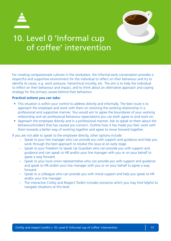



### 10. Level 0 'Informal cup of coffee' intervention

For creating compassionate cultures in the workplace, the informal early conversation provides a respectful and supportive environment for the individual to reflect on their behaviour and try to identify its cause, e.g. work pressure, hierarchical incivility, etc. The aim is to help the individual to reflect on their behaviour and impact, and to think about an alternative approach and coping strategy for the primary causes behind their behaviour.

#### **Practical actions you can take:**

- This situation is within your control to address directly and informally. The best route is to approach the employee and work with them on restoring the working relationship in a professional and supportive manner. You would aim to agree the boundaries of your working relationship and set professional behaviour expectations you can both agree to and work on.
- Approach the employee directly and in a professional manner. Ask to speak to them about the behaviour/incident that has caused you concern. Outline how it has made you feel; work with them towards a better way of working together and agree to move forward together.

If you are not able to speak to the employee directly, other options include:

- Speak to your line manager who can provide you with support and guidance and help you work through the best approach to resolve the issue at an early stage.
- Speak to your Freedom to Speak Up Guardian who can provide you with support and guidance and can speak to HR and/or your line manager with you or on your behalf to agree a way forward.
- Speak to your local union representative who can provide you with support and guidance and speak to HR and/or your line manager with you or on your behalf to agree a way forward.
- Speak to a colleague who can provide you with moral support and help you speak to HR and/or your line manager
- The interactive Civility and Respect Toolkit includes scenarios which you may find helpful to navigate situations at this level.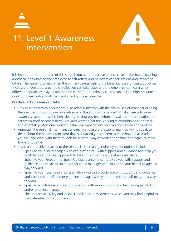



### 11. Level 1 Awareness intervention

It is important that the focus of this stage is not about directive or corrective advice but a coaching approach, encouraging the employee to self-reflect and be aware of their actions and impact on others. The learning comes when the primary causes behind the behaviours are understood. Once these are understood, a period of reflection can take place and the employee can learn what different approaches may be appropriate in the future. Primary causes can include high pressure at work, unmanageable workloads and incivility under pressure.

#### **Practical actions you can take:**

- This situation is within your control to address directly with the clinical senior manager or using the avenues of support available informally. The approach you want to take here is to raise awareness about how this behaviour is making you feel before it escalates into a situation that causes yourself or others harm. You also want to get the working relationship back on track and establish professional working behaviour expectations you can both agree and work on.
- Approach the senior clinical manager directly and in a professional manner. Ask to speak to them about the behaviour/incident that has caused you concern, outline how it has made you feel and work with them to look for a better way of working together and agree to move forward together.
- If you are not able to speak to the senior clinical manager directly, other options include:
	- Speak to your line manager who can provide you with support and guidance and help you work through the best approach to take to resolve the issue at an early stage.
	- Speak to your Freedom to Speak Up Guardian who can provide you with support and guidance and speak to HR and/or your line manager with you or on your behalf to agree a way forward.
	- Speak to your local union representative who can provide you with support and guidance and can speak to HR and/or your line manager with you or on your behalf to agree a way forward.
	- Speak to a colleague who can provide you with moral support and help you speak to HR and/or your line manager.
	- The interactive Civility and Respect Toolkit includes scenarios which you may find helpful to navigate situations at this level.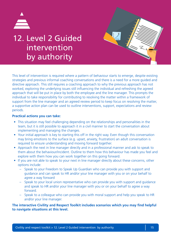

### 12. Level 2 Guided intervention by authority

This level of intervention is required where a pattern of behaviour starts to emerge, despite existing strategies and previous informal coaching conversations and there is a need for a more guided and directive approach. This still requires a coaching approach to why the previous approach has not worked, exploring the underlying issues still influencing the individual and refreshing the agreed approach that will be put in place by both the employee and the line manager. This prompts the individual to take responsibility for contributing to resolving the matter within a framework of support from the line manager and an agreed review period to keep focus on resolving the matter, a supportive action plan can be used to outline interventions, support, expectations and review periods.

### **Practical actions you can take:**

- This situation may feel challenging depending on the relationships and personalities in the team, but it is still possible to approach it in a civil manner to start the conversation about implementing and managing the changes.
- Your initial approach is key to starting this off in the right way. Even though this conversation may bring emotions to the surface (e.g. upset, anxiety, frustration) an adult conversation is required to ensure understanding and moving forward together.
- Approach the next in line manager directly and in a professional manner and ask to speak to them about the behaviour/incident. Outline to them how this behaviour has made you feel and explore with them how you can work together on this going forward.
- If you are not able to speak to your next in line manager directly about these concerns, other options include:
	- Speak to your Freedom to Speak Up Guardian who can provide you with support and guidance and can speak to HR and/or your line manager with you or on your behalf to agree a way forward
	- Speak to your local union representative who can provide you with support and guidance and speak to HR and/or your line manager with you or on your behalf to agree a way forward.
	- Speak to a colleague who can provide you with moral support and help you speak to HR and/or your line manager.

### **The interactive Civility and Respect Toolkit includes scenarios which you may find helpful to navigate situations at this level.**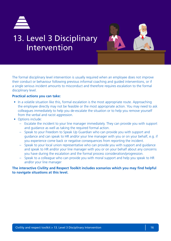

### 13. Level 3 Disciplinary Intervention



The formal disciplinary level intervention is usually required when an employee does not improve their conduct or behaviour following previous informal coaching and guided interventions, or if a single serious incident amounts to misconduct and therefore requires escalation to the formal disciplinary level.

### **Practical actions you can take:**

- In a volatile situation like this, formal escalation is the most appropriate route. Approaching the employee directly may not be feasible or the most appropriate action. You may need to ask colleagues immediately to help you de-escalate the situation or to help you remove yourself from the verbal and racist aggression.
- Options include:
	- Escalate the incident to your line manager immediately. They can provide you with support and guidance as well as taking the required formal action.
	- Speak to your Freedom to Speak Up Guardian who can provide you with support and guidance and can speak to HR and/or your line manager with you or on your behalf, e.g. if you experience come back or negative consequences from reporting the incident.
	- Speak to your local union representative who can provide you with support and guidance and speak to HR and/or your line manager with you or on your behalf about any concerns you have during the escalation and the formal process consideration/progression.
	- Speak to a colleague who can provide you with moral support and help you speak to HR and/or your line manager

**The interactive Civility and Respect Toolkit includes scenarios which you may find helpful to navigate situations at this level.**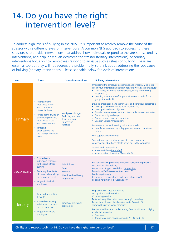### 14. Do you have the right intervention level?

To address high levels of bullying in the NHS , it is important to resolve/ remove the cause of the stressor with a different levels of interventions. A common NHS approach to addressing these stressors is to provide interventions that address how individuals respond to the stressor (secondary interventions) and help individuals overcome the stressor (tertiary interventions). Secondary interventions focus on how employees respond to an issue such as stress or bullying. These are essential too but they will not address the problem fully, so think about addressing the root cause of bullying (primary interventions). Please see table below for levels of intervention:

| <b>Level</b>    | <b>Focus</b>                                                                                                                                                                                                                                      | <b>Stress interventions</b>                                                                 | <b>Bullying interventions</b>                                                                                                                                                                                                                                                                                                                                                                            |
|-----------------|---------------------------------------------------------------------------------------------------------------------------------------------------------------------------------------------------------------------------------------------------|---------------------------------------------------------------------------------------------|----------------------------------------------------------------------------------------------------------------------------------------------------------------------------------------------------------------------------------------------------------------------------------------------------------------------------------------------------------------------------------------------------------|
| Primary         | • Addressing the<br>root cause of the<br>workplace issue<br>(stress, bullying)<br>• Aimed at modifying or<br>eliminating stressors/<br>root causes in the<br>work environment<br>• Targeting<br>organisations and<br>the changes they can<br>make | Workplace changes:<br>Reducing workload<br>Team working<br>Supervision<br><b>Facilities</b> | Understand the employee's experience and what bullying looks<br>like in your organisation (incivility, negative workplace behaviours)<br>• Staff survey on workplace behaviours, civility and bullying<br>(Appendix 1)<br>• Listening events and staff support (Shwartz Rounds, focus<br>groups Appendix 2)                                                                                              |
|                 |                                                                                                                                                                                                                                                   |                                                                                             | Develop organisation and team values and behaviour agreements<br>• Develop a behaviour framework (Appendix 3)<br>• Develop shared team objectives<br>• Establish team development and team reflection opportunities<br>• Promote civility and respect<br>• Promote compassion and inclusion<br>• Establish Values Ambassadors                                                                            |
|                 |                                                                                                                                                                                                                                                   |                                                                                             | Implement a just and learning culture approach:<br>• Identify harm caused by policy, process, systems, structures,<br>culture                                                                                                                                                                                                                                                                            |
|                 |                                                                                                                                                                                                                                                   |                                                                                             | Peer support arrangements                                                                                                                                                                                                                                                                                                                                                                                |
|                 |                                                                                                                                                                                                                                                   |                                                                                             | Support managers and employees to have courageous<br>conversations about acceptable behaviour in the workplace                                                                                                                                                                                                                                                                                           |
|                 |                                                                                                                                                                                                                                                   |                                                                                             | Team-based interventions:<br>• Boxes workshop (Appendix 6)<br>• Value in action discussion (Appendix 7)                                                                                                                                                                                                                                                                                                  |
| Secondary       | • Focused on an<br>individual's response<br>to the issue (stress,<br>bullying)<br>• Reducing the effects<br>of stressors by making<br>them more resilient<br>• Targets individuals/<br>employees                                                  | <b>Mindfulness</b><br>Yoga<br>Exercise<br>Health and wellbeing<br>programmes                | Resilience training (Building resilience workshop Appendix 8)<br>Unconscious bias training<br>Respect and Support Workshop (Appendix 4)<br>Behavioural Self-Assessment (Appendix 5)<br>Leadership training<br>Courageous conversations workshops (Appendix 9)<br>Personal reflection log (Appendix 10)                                                                                                   |
| <b>Tertiary</b> | • Treating the resulting<br>ill health<br>• Focused on helping<br>individuals cope with<br>the consequences<br>• Targets individuals/<br>employees                                                                                                | Employee assistance<br>programme                                                            | Employee assistance programme<br>Occupational health service<br>Counselling service<br>Fast-track cognitive behavioural therapy/counselling<br>Respect and Support helpline (Appendix 14 and 15)<br>Targeted Civility at Work campaign<br>Routes to address the conflict arising from incivility and bullying<br>• Mediation service<br>• Coaching<br>• Round table discussions (Appendix 11, 12 and 13) |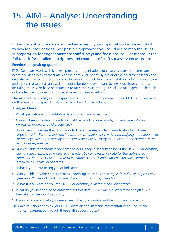### 15. AIM – Analyse: Understanding the issues

It is important you understand the key issues in your organisation before you start to develop interventions. Two possible approaches you could use to map the issues in preparation for engagement are staff surveys and focus groups. Please consult the full toolkit for detailed descriptions and examples of staff surveys or Focus groups.

### **Freedom to speak up guardians**

FTSU Guardians work with leadership teams in organisations to ensure workers' concerns are heard and dealt with appropriately at the right level, hopefully avoiding the need for colleagues to escalate the matter further. They provide support and a listening ear if staff wish to raise a concern and they can also act as an escalation point for people who want to speak up, have concerns, including those who have been unable to raise the issue through usual line management channels or have felt their concerns at this level have not been acted on.

**The interactive Civility and Respect Toolkit** includes more information on FTSU Guardians and on the Freedom to Speak Up National Guardian's Office website.

### **Analyse: Check in**

- 1. What qualitative and quantitative data do you have access to?
- 2. Can you break the data down to look at the detail?  *For example, by geographical area, profession or protected characteristic?*
- 3. How can you analyse the data through different lenses to identify/understand employee experiences? *- For example, looking at the staff opinion survey data for bullying and harassment or employee relations cases by protected characteristic, to try to understand the differences in employee experience.*
- 4. Are you able to triangulate your data to get a deeper understanding of the issue?  *For example, doing a geographical or protected characteristic comparison of data for the staff survey, numbers of and reasons for employee relations cases, sickness absence prevalence/trends, Freedom to Speak Up concerns.*
- 5. What is your data telling you or indicating?
- 6. Can you identify the primary causes/underlying issues?  *For example, incivility, work pressures (resources/time/workload), command and control culture, band bias*
- 7. What further data do you require?  *For example, qualitative and quantitative*
- 8. What do you need to do to gather/access this data?  *For example, workforce analyst input, bespoke staff survey, focus groups*
- 9. Have you engaged with your employees directly to understand their primary concerns?
- 10. Have you engaged with your FTSU Guardian and staff side representatives to understand concerns expressed through these staff support routes?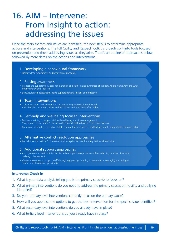### 16. AIM – Intervene: From insight to action: addressing the issues

Once the main themes and issues are identified, the next step is to determine appropriate actions and interventions. The full Civility and Respect Toolkit is broadly split into tools focused on prevention and those addressing issues as they arise. There's an outline of approaches below, followed by more detail on the actions and interventions.

#### 1. Developing a behavioural framework

• Identify clear expectations and behavioural standards

#### 2. Raising awareness

- Respect and support workshops for managers and staff to raise awareness of the behavioural framework and what positive behaviours look like
- Behavioural self-assessment tool to support personal insight and reflection

#### 3. Team interventions

• 'Values in action' and 'in your box' sessions to help individuals understand their thoughts, attitudes, beliefs and behaviours and how these affect others

#### 4. Self-help and wellbeing focused interventions

- Resilience training to support staff with wellbeing and stress management
- 'Courageous conversations' workshops to support staff to have difficult conversations
- Events and feeling logs to enable staff to capture their experiences and feelings and to support reflection and action

#### 5. Alternative conflict resolution approaches

• Round-table discussions for low-level relationship issues that don't require formal mediation

#### 6. Additional support approaches

- An organisation-based confidential phone line to provide support to staff experiencing incivility, disrespect, bullying or harassment.
- Value ambassadors to support staff through signposting, listening to issues and encouraging the raising of concerns at the earliest opportunity.

#### **Intervene: Check in**

- 1. What is your data analysis telling you is the primary cause(s) to focus on?
- 2. What primary interventions do you need to address the primary causes of incivility and bullying identified?
- 3. Do your primary level interventions correctly focus on the primary cause?
- 4. How will you appraise the options to get the best intervention for the specific issue identified?
- 5. What secondary level interventions do you already have in place?
- 6. What tertiary level interventions do you already have in place?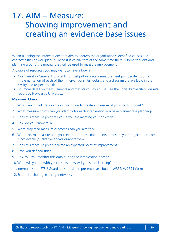### 17. AIM – Measure: Showing improvement and creating an evidence base issues

When planning the interventions that aim to address the organisation's identified causes and characteristics of workplace bullying it is crucial that at the same time there is some thought and planning around the metrics that will be used to measure improvement.

A couple of resources you may want to have a look at:

- Northampton General Hospital NHS Trust put in place a measurement point system during implementation of each of their interventions. Full details and a diagram are available in the civility and respect toolkit.
- For more detail on measurements and metrics you could use, see the Social Partnership Forum's report by Newcastle University.

### **Measure: Check in**

- 1. What benchmark data can you lock down to create a measure of your starting point?
- 2. What measure points can you identify for each intervention you have planned/are planning?
- 3. Does this measure point tell you if you are meeting your objective?
- 4. How do you know this?
- 5. What projected measure outcomes can you aim for?
- 6. What control measures can you set around these data points to ensure your projected outcome is achievable (qualitative and/or quantitative)?
- 7. Does this measure point indicate an expected point of improvement?
- 8. Have you defined this?
- 9. How will you monitor this data during the intervention phase?
- 10.What will you do with your results, how will you share learning?
- 11.Internal staff, FTSU Guardian, staff side representatives, board, WRES/ WDES information
- 12.External sharing learning, networks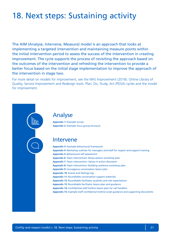### 18. Next steps: Sustaining activity

The AIM (Analyse, Intervene, Measure) model is an approach that looks at implementing a targeted intervention and maintaining measure points within the initial intervention period to assess the success of the intervention in creating improvement. The cycle supports the process of revisiting the approach based on the outcomes of the intervention and refreshing the intervention to provide a better focus based on the initial stage implementation to improve the approach of the intervention in stage two.

For more detail on models for improvement, see the NHS Improvement (2018). Online Library of Quality, Service Improvement and Redesign tools. Plan, Do, Study, Act (PDSA) cycles and the model for improvement.



### Analyse

**Appendix 1:** Example survey **Appendix 2:** Example focus group structure

### Intervene

**Appendix 3:** Example behavioural framework **Appendix 4:** Workshop outlines for managers and staff for respect and support training **Appendix 5:** Behavioural self-assessment **Appendix 6:** Team intervention: Boxes session workshop plan **Appendix 7:** Team intervention: Values in action discussion **Appendix 8:** Team intervention: Building resilience workshop plan **Appendix 9:** Courageous conversation lesson plan **Appendix 10:** Events and feelings log **Appendix 11:** Roundtable conversation support materials **Appendix 12:** Roundtable facilitator qualities and role expectations **Appendix 13:** Roundtable facilitator lesson plan and guidance **Appendix 14:** Confidential staff hotline lesson plan for call handlers **Appendix 15:** Example staff confidential hotline script guidance and supporting documents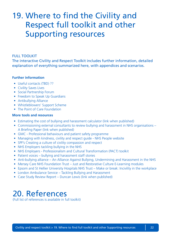### 19. Where to find the Civility and Respect full toolkit and other Supporting resources

### FULL TOOLKIT

The interactive Civility and Respect Toolkit includes further information, detailed explanation of everything summarized here, with appendices and scenarios.

### **Further information**

- Useful contacts (TBD) ??
- Civility Saves Lives
- Social Partnership Forum
- Freedom to Speak Up Guardians
- Antibullying Alliance
- Whistleblowers' Support Scheme
- The Point of Care Foundation

### **More tools and resources**

- Estimating the cost of bullying and harassment calculator (link when published)
- Commissioning external consultants to review bullying and harassment in NHS organisations A Briefing Paper (link when published)
- GMC Professional behaviours and patient safety programme
- Managing with kindness, civility and respect guide NHS People website
- SPF's Creating a culture of civility compassion and respect
- NHS Employers tackling bullying in the NHS
- NHS Employers Professionalism and Cultural Transformation (PACT) toolkit
- Patient voices bullying and harassment staff stories
- Anti-bullying alliance An Alliance Against Bullying, Undermining and Harassment in the NHS
- Mersey Care NHS Foundation Trust Just and Restorative Culture E-Learning modules
- Epsom and St Hellier University Hospitals NHS Trust Make or break: Incivility in the workplace
- London Ambulance Service Tackling Bullying and Harassment
- Case Study Review Report Duncan Lewis (link when published)

### 20. References

(Full list of references is available in full toolkit)